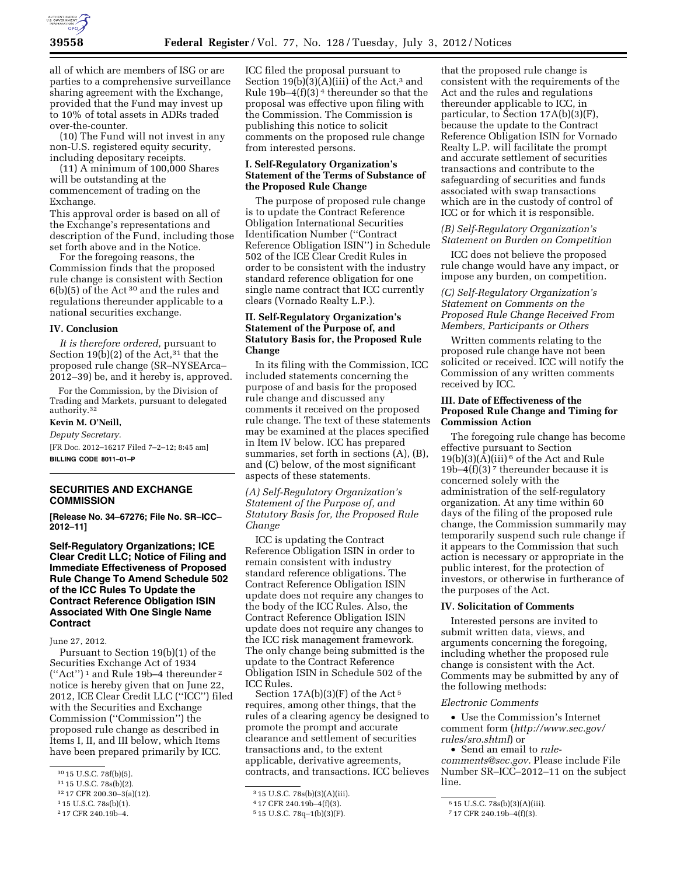

all of which are members of ISG or are parties to a comprehensive surveillance sharing agreement with the Exchange, provided that the Fund may invest up to 10% of total assets in ADRs traded over-the-counter.

(10) The Fund will not invest in any non-U.S. registered equity security, including depositary receipts.

(11) A minimum of 100,000 Shares will be outstanding at the commencement of trading on the Exchange.

This approval order is based on all of the Exchange's representations and description of the Fund, including those set forth above and in the Notice.

For the foregoing reasons, the Commission finds that the proposed rule change is consistent with Section 6(b)(5) of the Act 30 and the rules and regulations thereunder applicable to a national securities exchange.

## **IV. Conclusion**

*It is therefore ordered,* pursuant to Section 19(b)(2) of the Act,  $31$  that the proposed rule change (SR–NYSEArca– 2012–39) be, and it hereby is, approved.

For the Commission, by the Division of Trading and Markets, pursuant to delegated authority.32

**Kevin M. O'Neill,**  *Deputy Secretary.* 

[FR Doc. 2012–16217 Filed 7–2–12; 8:45 am] **BILLING CODE 8011–01–P** 

#### **SECURITIES AND EXCHANGE COMMISSION**

**[Release No. 34–67276; File No. SR–ICC– 2012–11]** 

**Self-Regulatory Organizations; ICE Clear Credit LLC; Notice of Filing and Immediate Effectiveness of Proposed Rule Change To Amend Schedule 502 of the ICC Rules To Update the Contract Reference Obligation ISIN Associated With One Single Name Contract** 

June 27, 2012.

Pursuant to Section 19(b)(1) of the Securities Exchange Act of 1934 (''Act'') 1 and Rule 19b–4 thereunder 2 notice is hereby given that on June 22, 2012, ICE Clear Credit LLC (''ICC'') filed with the Securities and Exchange Commission (''Commission'') the proposed rule change as described in Items I, II, and III below, which Items have been prepared primarily by ICC.

2 17 CFR 240.19b–4.

ICC filed the proposal pursuant to Section  $19(b)(3)(A)(iii)$  of the Act,<sup>3</sup> and Rule  $19b-4(f)(3)^4$  thereunder so that the proposal was effective upon filing with the Commission. The Commission is publishing this notice to solicit comments on the proposed rule change from interested persons.

#### **I. Self-Regulatory Organization's Statement of the Terms of Substance of the Proposed Rule Change**

The purpose of proposed rule change is to update the Contract Reference Obligation International Securities Identification Number (''Contract Reference Obligation ISIN'') in Schedule 502 of the ICE Clear Credit Rules in order to be consistent with the industry standard reference obligation for one single name contract that ICC currently clears (Vornado Realty L.P.).

## **II. Self-Regulatory Organization's Statement of the Purpose of, and Statutory Basis for, the Proposed Rule Change**

In its filing with the Commission, ICC included statements concerning the purpose of and basis for the proposed rule change and discussed any comments it received on the proposed rule change. The text of these statements may be examined at the places specified in Item IV below. ICC has prepared summaries, set forth in sections (A), (B), and (C) below, of the most significant aspects of these statements.

*(A) Self-Regulatory Organization's Statement of the Purpose of, and Statutory Basis for, the Proposed Rule Change* 

ICC is updating the Contract Reference Obligation ISIN in order to remain consistent with industry standard reference obligations. The Contract Reference Obligation ISIN update does not require any changes to the body of the ICC Rules. Also, the Contract Reference Obligation ISIN update does not require any changes to the ICC risk management framework. The only change being submitted is the update to the Contract Reference Obligation ISIN in Schedule 502 of the ICC Rules.

Section  $17A(b)(3)(F)$  of the Act<sup>5</sup> requires, among other things, that the rules of a clearing agency be designed to promote the prompt and accurate clearance and settlement of securities transactions and, to the extent applicable, derivative agreements, contracts, and transactions. ICC believes

that the proposed rule change is consistent with the requirements of the Act and the rules and regulations thereunder applicable to ICC, in particular, to Section 17A(b)(3)(F), because the update to the Contract Reference Obligation ISIN for Vornado Realty L.P. will facilitate the prompt and accurate settlement of securities transactions and contribute to the safeguarding of securities and funds associated with swap transactions which are in the custody of control of ICC or for which it is responsible.

### *(B) Self-Regulatory Organization's Statement on Burden on Competition*

ICC does not believe the proposed rule change would have any impact, or impose any burden, on competition.

### *(C) Self-Regulatory Organization's Statement on Comments on the Proposed Rule Change Received From Members, Participants or Others*

Written comments relating to the proposed rule change have not been solicited or received. ICC will notify the Commission of any written comments received by ICC.

# **III. Date of Effectiveness of the Proposed Rule Change and Timing for Commission Action**

The foregoing rule change has become effective pursuant to Section  $19(b)(3)(A)(iii)$ <sup>6</sup> of the Act and Rule 19b–4(f)(3) 7 thereunder because it is concerned solely with the administration of the self-regulatory organization. At any time within 60 days of the filing of the proposed rule change, the Commission summarily may temporarily suspend such rule change if it appears to the Commission that such action is necessary or appropriate in the public interest, for the protection of investors, or otherwise in furtherance of the purposes of the Act.

#### **IV. Solicitation of Comments**

Interested persons are invited to submit written data, views, and arguments concerning the foregoing, including whether the proposed rule change is consistent with the Act. Comments may be submitted by any of the following methods:

#### *Electronic Comments*

• Use the Commission's Internet comment form (*[http://www.sec.gov/](http://www.sec.gov/rules/sro.shtml)  [rules/sro.shtml](http://www.sec.gov/rules/sro.shtml)*) or

• Send an email to *[rule](mailto:rule-comments@sec.gov)[comments@sec.gov.](mailto:rule-comments@sec.gov)* Please include File Number SR–ICC–2012–11 on the subject line.

<sup>30</sup> 15 U.S.C. 78f(b)(5).

<sup>31</sup> 15 U.S.C. 78s(b)(2).

<sup>32</sup> 17 CFR 200.30–3(a)(12).

<sup>1</sup> 15 U.S.C. 78s(b)(1).

<sup>3</sup> 15 U.S.C. 78s(b)(3)(A)(iii).

<sup>4</sup> 17 CFR 240.19b–4(f)(3).

<sup>5</sup> 15 U.S.C. 78q–1(b)(3)(F).

<sup>6</sup> 15 U.S.C. 78s(b)(3)(A)(iii).

<sup>7</sup> 17 CFR 240.19b–4(f)(3).